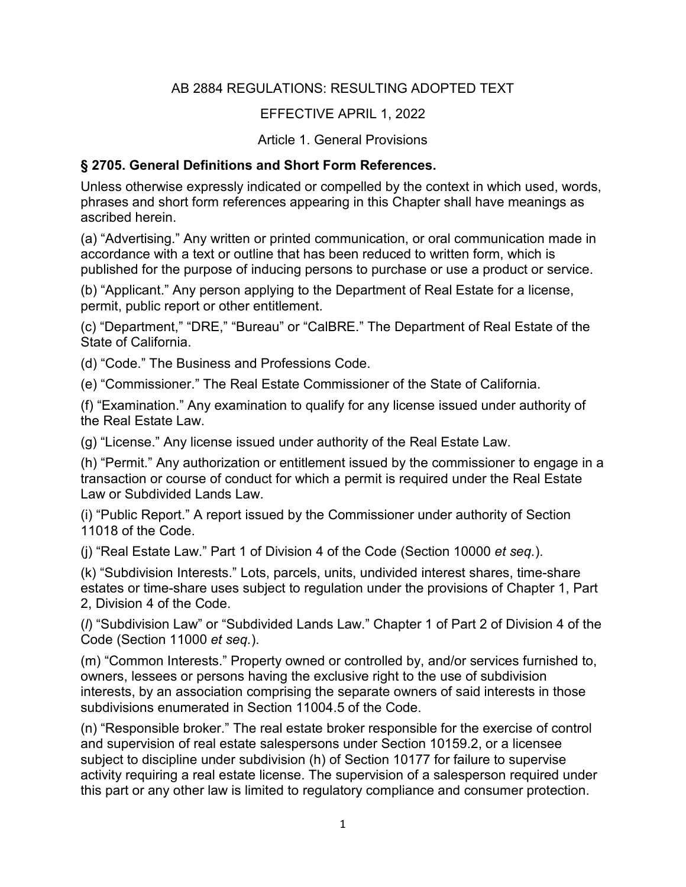### AB 2884 REGULATIONS: RESULTING ADOPTED TEXT

### EFFECTIVE APRIL 1, 2022

#### Article 1. General Provisions

#### **§ 2705. General Definitions and Short Form References.**

Unless otherwise expressly indicated or compelled by the context in which used, words, phrases and short form references appearing in this Chapter shall have meanings as ascribed herein.

(a) "Advertising." Any written or printed communication, or oral communication made in accordance with a text or outline that has been reduced to written form, which is published for the purpose of inducing persons to purchase or use a product or service.

(b) "Applicant." Any person applying to the Department of Real Estate for a license, permit, public report or other entitlement.

(c) "Department," "DRE," "Bureau" or "CalBRE." The Department of Real Estate of the State of California.

(d) "Code." The Business and Professions Code.

(e) "Commissioner." The Real Estate Commissioner of the State of California.

(f) "Examination." Any examination to qualify for any license issued under authority of the Real Estate Law.

(g) "License." Any license issued under authority of the Real Estate Law.

(h) "Permit." Any authorization or entitlement issued by the commissioner to engage in a transaction or course of conduct for which a permit is required under the Real Estate Law or Subdivided Lands Law.

(i) "Public Report." A report issued by the Commissioner under authority of Section 11018 of the Code.

(j) "Real Estate Law." Part 1 of Division 4 of the Code (Section 10000 *et seq.*).

(k) "Subdivision Interests." Lots, parcels, units, undivided interest shares, time-share estates or time-share uses subject to regulation under the provisions of Chapter 1, Part 2, Division 4 of the Code.

(*l*) "Subdivision Law" or "Subdivided Lands Law." Chapter 1 of Part 2 of Division 4 of the Code (Section 11000 *et seq.*).

(m) "Common Interests." Property owned or controlled by, and/or services furnished to, owners, lessees or persons having the exclusive right to the use of subdivision interests, by an association comprising the separate owners of said interests in those subdivisions enumerated in Section 11004.5 of the Code.

(n) "Responsible broker." The real estate broker responsible for the exercise of control and supervision of real estate salespersons under Section 10159.2, or a licensee subject to discipline under subdivision (h) of Section 10177 for failure to supervise activity requiring a real estate license. The supervision of a salesperson required under this part or any other law is limited to regulatory compliance and consumer protection.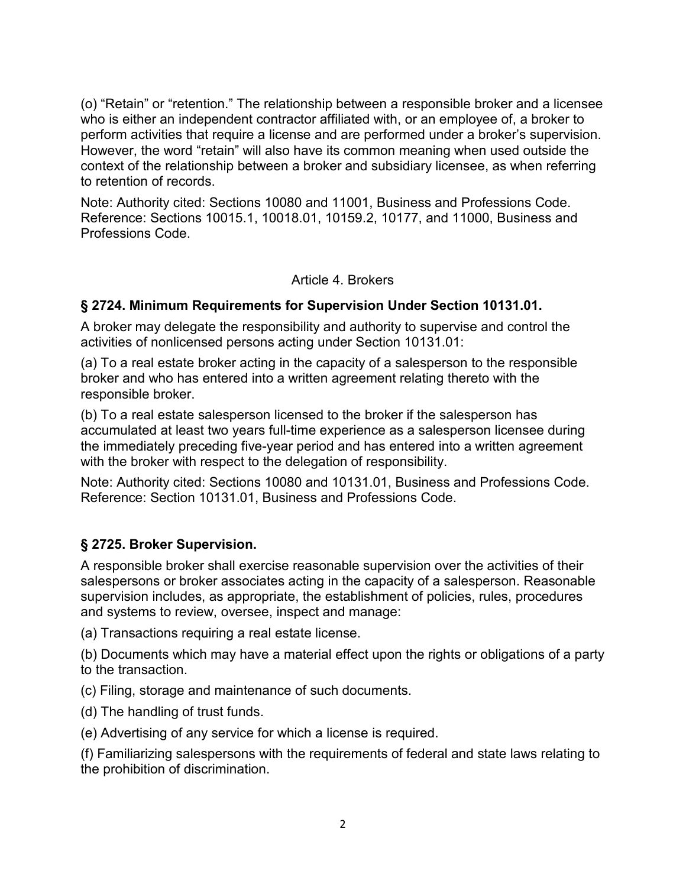(o) "Retain" or "retention." The relationship between a responsible broker and a licensee who is either an independent contractor affiliated with, or an employee of, a broker to perform activities that require a license and are performed under a broker's supervision. However, the word "retain" will also have its common meaning when used outside the context of the relationship between a broker and subsidiary licensee, as when referring to retention of records.

Note: Authority cited: Sections 10080 and 11001, Business and Professions Code. Reference: Sections 10015.1, 10018.01, 10159.2, 10177, and 11000, Business and Professions Code.

Article 4. Brokers

### **§ 2724. Minimum Requirements for Supervision Under Section 10131.01.**

A broker may delegate the responsibility and authority to supervise and control the activities of nonlicensed persons acting under Section 10131.01:

(a) To a real estate broker acting in the capacity of a salesperson to the responsible broker and who has entered into a written agreement relating thereto with the responsible broker.

(b) To a real estate salesperson licensed to the broker if the salesperson has accumulated at least two years full-time experience as a salesperson licensee during the immediately preceding five-year period and has entered into a written agreement with the broker with respect to the delegation of responsibility.

Note: Authority cited: Sections 10080 and 10131.01, Business and Professions Code. Reference: Section 10131.01, Business and Professions Code.

### **§ 2725. Broker Supervision.**

A responsible broker shall exercise reasonable supervision over the activities of their salespersons or broker associates acting in the capacity of a salesperson. Reasonable supervision includes, as appropriate, the establishment of policies, rules, procedures and systems to review, oversee, inspect and manage:

(a) Transactions requiring a real estate license.

(b) Documents which may have a material effect upon the rights or obligations of a party to the transaction.

(c) Filing, storage and maintenance of such documents.

(d) The handling of trust funds.

(e) Advertising of any service for which a license is required.

(f) Familiarizing salespersons with the requirements of federal and state laws relating to the prohibition of discrimination.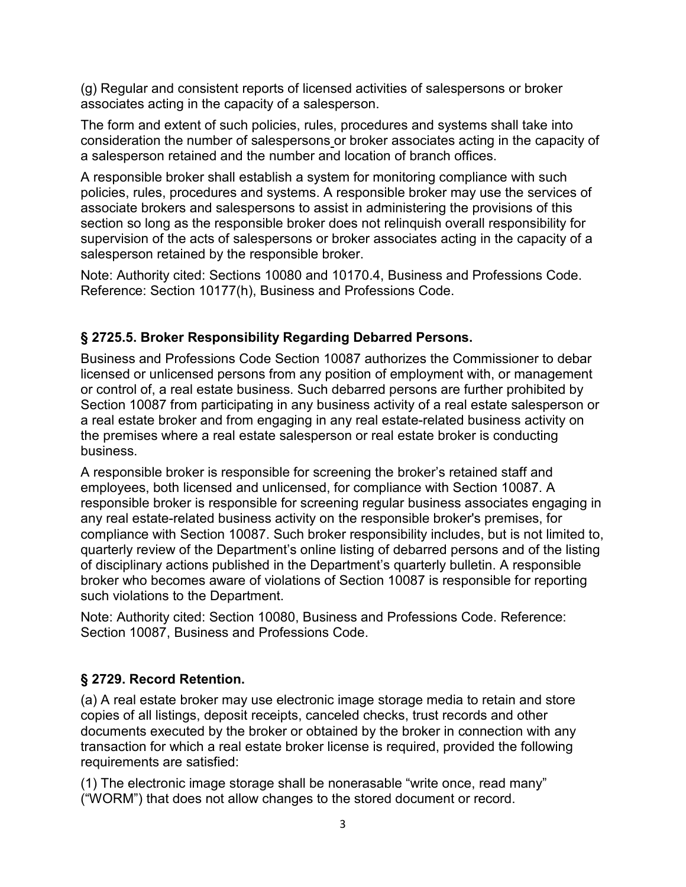(g) Regular and consistent reports of licensed activities of salespersons or broker associates acting in the capacity of a salesperson.

The form and extent of such policies, rules, procedures and systems shall take into consideration the number of salespersons or broker associates acting in the capacity of a salesperson retained and the number and location of branch offices.

A responsible broker shall establish a system for monitoring compliance with such policies, rules, procedures and systems. A responsible broker may use the services of associate brokers and salespersons to assist in administering the provisions of this section so long as the responsible broker does not relinquish overall responsibility for supervision of the acts of salespersons or broker associates acting in the capacity of a salesperson retained by the responsible broker.

Note: Authority cited: Sections 10080 and 10170.4, Business and Professions Code. Reference: Section 10177(h), Business and Professions Code.

# **§ 2725.5. Broker Responsibility Regarding Debarred Persons.**

Business and Professions Code Section 10087 authorizes the Commissioner to debar licensed or unlicensed persons from any position of employment with, or management or control of, a real estate business. Such debarred persons are further prohibited by Section 10087 from participating in any business activity of a real estate salesperson or a real estate broker and from engaging in any real estate-related business activity on the premises where a real estate salesperson or real estate broker is conducting business.

A responsible broker is responsible for screening the broker's retained staff and employees, both licensed and unlicensed, for compliance with Section 10087. A responsible broker is responsible for screening regular business associates engaging in any real estate-related business activity on the responsible broker's premises, for compliance with Section 10087. Such broker responsibility includes, but is not limited to, quarterly review of the Department's online listing of debarred persons and of the listing of disciplinary actions published in the Department's quarterly bulletin. A responsible broker who becomes aware of violations of Section 10087 is responsible for reporting such violations to the Department.

Note: Authority cited: Section 10080, Business and Professions Code. Reference: Section 10087, Business and Professions Code.

# **§ 2729. Record Retention.**

(a) A real estate broker may use electronic image storage media to retain and store copies of all listings, deposit receipts, canceled checks, trust records and other documents executed by the broker or obtained by the broker in connection with any transaction for which a real estate broker license is required, provided the following requirements are satisfied:

(1) The electronic image storage shall be nonerasable "write once, read many" ("WORM") that does not allow changes to the stored document or record.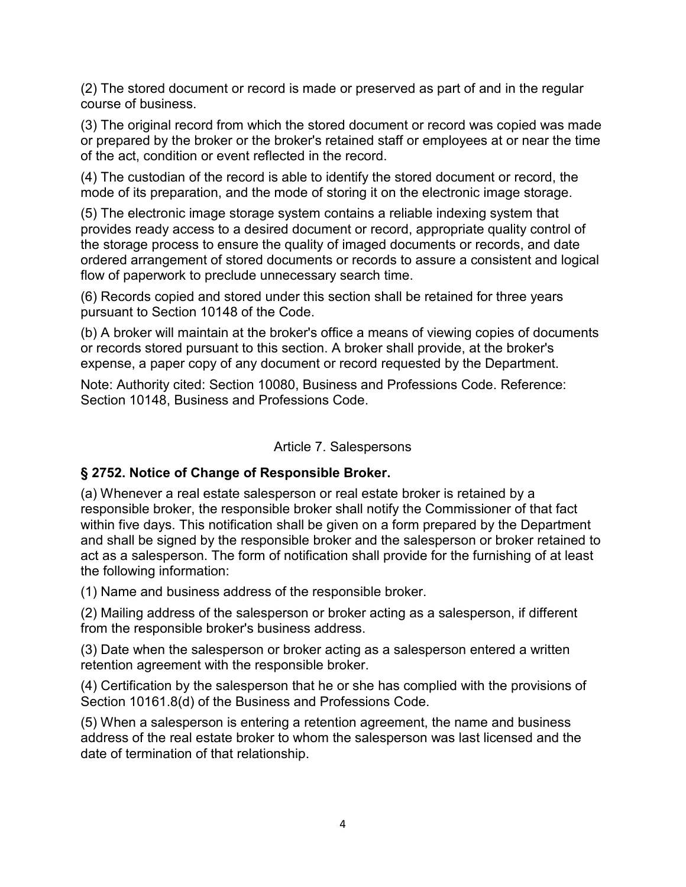(2) The stored document or record is made or preserved as part of and in the regular course of business.

(3) The original record from which the stored document or record was copied was made or prepared by the broker or the broker's retained staff or employees at or near the time of the act, condition or event reflected in the record.

(4) The custodian of the record is able to identify the stored document or record, the mode of its preparation, and the mode of storing it on the electronic image storage.

(5) The electronic image storage system contains a reliable indexing system that provides ready access to a desired document or record, appropriate quality control of the storage process to ensure the quality of imaged documents or records, and date ordered arrangement of stored documents or records to assure a consistent and logical flow of paperwork to preclude unnecessary search time.

(6) Records copied and stored under this section shall be retained for three years pursuant to Section 10148 of the Code.

(b) A broker will maintain at the broker's office a means of viewing copies of documents or records stored pursuant to this section. A broker shall provide, at the broker's expense, a paper copy of any document or record requested by the Department.

Note: Authority cited: Section 10080, Business and Professions Code. Reference: Section 10148, Business and Professions Code.

#### Article 7. Salespersons

### **§ 2752. Notice of Change of Responsible Broker.**

(a) Whenever a real estate salesperson or real estate broker is retained by a responsible broker, the responsible broker shall notify the Commissioner of that fact within five days. This notification shall be given on a form prepared by the Department and shall be signed by the responsible broker and the salesperson or broker retained to act as a salesperson. The form of notification shall provide for the furnishing of at least the following information:

(1) Name and business address of the responsible broker.

(2) Mailing address of the salesperson or broker acting as a salesperson, if different from the responsible broker's business address.

(3) Date when the salesperson or broker acting as a salesperson entered a written retention agreement with the responsible broker.

(4) Certification by the salesperson that he or she has complied with the provisions of Section 10161.8(d) of the Business and Professions Code.

(5) When a salesperson is entering a retention agreement, the name and business address of the real estate broker to whom the salesperson was last licensed and the date of termination of that relationship.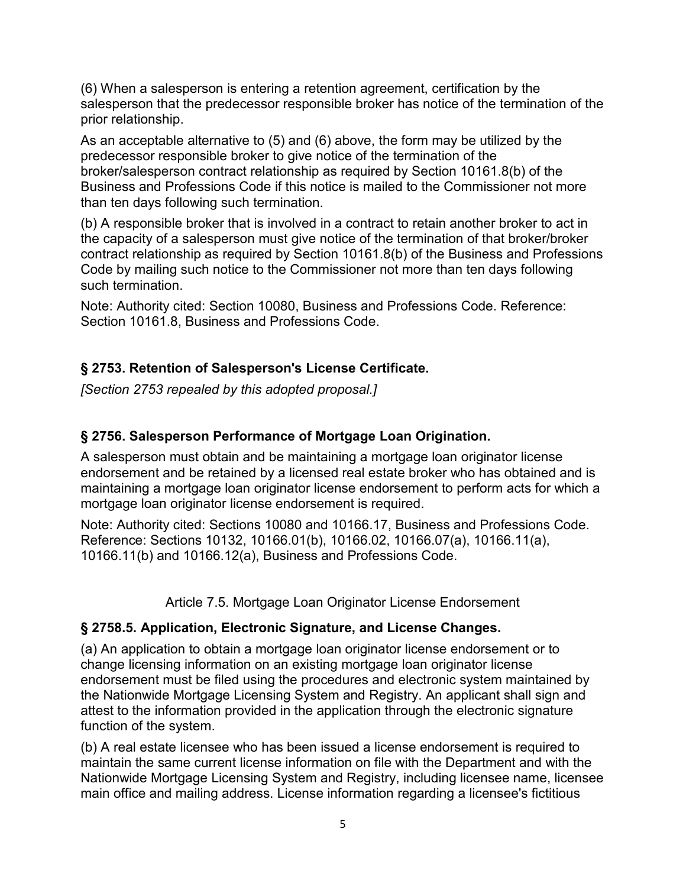(6) When a salesperson is entering a retention agreement, certification by the salesperson that the predecessor responsible broker has notice of the termination of the prior relationship.

As an acceptable alternative to (5) and (6) above, the form may be utilized by the predecessor responsible broker to give notice of the termination of the broker/salesperson contract relationship as required by Section 10161.8(b) of the Business and Professions Code if this notice is mailed to the Commissioner not more than ten days following such termination.

(b) A responsible broker that is involved in a contract to retain another broker to act in the capacity of a salesperson must give notice of the termination of that broker/broker contract relationship as required by Section 10161.8(b) of the Business and Professions Code by mailing such notice to the Commissioner not more than ten days following such termination.

Note: Authority cited: Section 10080, Business and Professions Code. Reference: Section 10161.8, Business and Professions Code.

# **§ 2753. Retention of Salesperson's License Certificate.**

*[Section 2753 repealed by this adopted proposal.]*

# **§ 2756. Salesperson Performance of Mortgage Loan Origination.**

A salesperson must obtain and be maintaining a mortgage loan originator license endorsement and be retained by a licensed real estate broker who has obtained and is maintaining a mortgage loan originator license endorsement to perform acts for which a mortgage loan originator license endorsement is required.

Note: Authority cited: Sections 10080 and 10166.17, Business and Professions Code. Reference: Sections 10132, 10166.01(b), 10166.02, 10166.07(a), 10166.11(a), 10166.11(b) and 10166.12(a), Business and Professions Code.

Article 7.5. Mortgage Loan Originator License Endorsement

### **§ 2758.5. Application, Electronic Signature, and License Changes.**

(a) An application to obtain a mortgage loan originator license endorsement or to change licensing information on an existing mortgage loan originator license endorsement must be filed using the procedures and electronic system maintained by the Nationwide Mortgage Licensing System and Registry. An applicant shall sign and attest to the information provided in the application through the electronic signature function of the system.

(b) A real estate licensee who has been issued a license endorsement is required to maintain the same current license information on file with the Department and with the Nationwide Mortgage Licensing System and Registry, including licensee name, licensee main office and mailing address. License information regarding a licensee's fictitious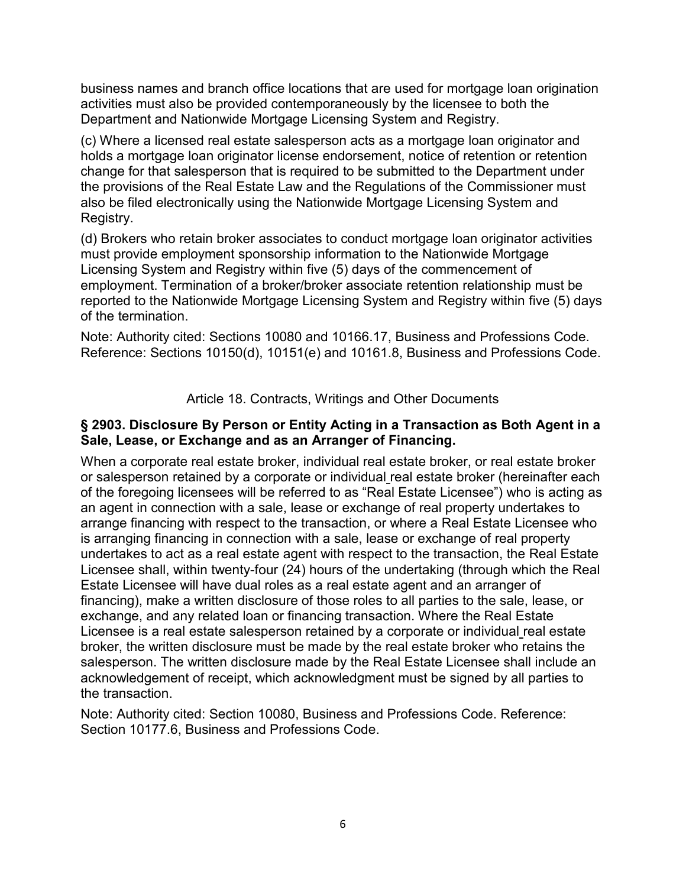business names and branch office locations that are used for mortgage loan origination activities must also be provided contemporaneously by the licensee to both the Department and Nationwide Mortgage Licensing System and Registry.

(c) Where a licensed real estate salesperson acts as a mortgage loan originator and holds a mortgage loan originator license endorsement, notice of retention or retention change for that salesperson that is required to be submitted to the Department under the provisions of the Real Estate Law and the Regulations of the Commissioner must also be filed electronically using the Nationwide Mortgage Licensing System and Registry.

(d) Brokers who retain broker associates to conduct mortgage loan originator activities must provide employment sponsorship information to the Nationwide Mortgage Licensing System and Registry within five (5) days of the commencement of employment. Termination of a broker/broker associate retention relationship must be reported to the Nationwide Mortgage Licensing System and Registry within five (5) days of the termination.

Note: Authority cited: Sections 10080 and 10166.17, Business and Professions Code. Reference: Sections 10150(d), 10151(e) and 10161.8, Business and Professions Code.

Article 18. Contracts, Writings and Other Documents

#### **§ 2903. Disclosure By Person or Entity Acting in a Transaction as Both Agent in a Sale, Lease, or Exchange and as an Arranger of Financing.**

When a corporate real estate broker, individual real estate broker, or real estate broker or salesperson retained by a corporate or individual real estate broker (hereinafter each of the foregoing licensees will be referred to as "Real Estate Licensee") who is acting as an agent in connection with a sale, lease or exchange of real property undertakes to arrange financing with respect to the transaction, or where a Real Estate Licensee who is arranging financing in connection with a sale, lease or exchange of real property undertakes to act as a real estate agent with respect to the transaction, the Real Estate Licensee shall, within twenty-four (24) hours of the undertaking (through which the Real Estate Licensee will have dual roles as a real estate agent and an arranger of financing), make a written disclosure of those roles to all parties to the sale, lease, or exchange, and any related loan or financing transaction. Where the Real Estate Licensee is a real estate salesperson retained by a corporate or individual real estate broker, the written disclosure must be made by the real estate broker who retains the salesperson. The written disclosure made by the Real Estate Licensee shall include an acknowledgement of receipt, which acknowledgment must be signed by all parties to the transaction.

Note: Authority cited: Section 10080, Business and Professions Code. Reference: Section 10177.6, Business and Professions Code.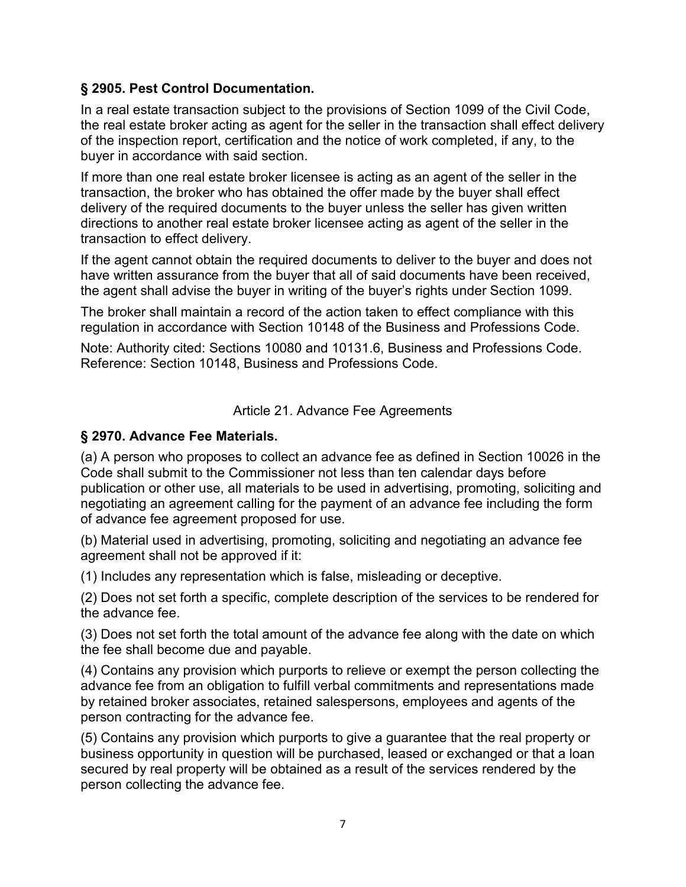### **§ 2905. Pest Control Documentation.**

In a real estate transaction subject to the provisions of Section 1099 of the Civil Code, the real estate broker acting as agent for the seller in the transaction shall effect delivery of the inspection report, certification and the notice of work completed, if any, to the buyer in accordance with said section.

If more than one real estate broker licensee is acting as an agent of the seller in the transaction, the broker who has obtained the offer made by the buyer shall effect delivery of the required documents to the buyer unless the seller has given written directions to another real estate broker licensee acting as agent of the seller in the transaction to effect delivery.

If the agent cannot obtain the required documents to deliver to the buyer and does not have written assurance from the buyer that all of said documents have been received, the agent shall advise the buyer in writing of the buyer's rights under Section 1099.

The broker shall maintain a record of the action taken to effect compliance with this regulation in accordance with Section 10148 of the Business and Professions Code.

Note: Authority cited: Sections 10080 and 10131.6, Business and Professions Code. Reference: Section 10148, Business and Professions Code.

Article 21. Advance Fee Agreements

### **§ 2970. Advance Fee Materials.**

(a) A person who proposes to collect an advance fee as defined in Section 10026 in the Code shall submit to the Commissioner not less than ten calendar days before publication or other use, all materials to be used in advertising, promoting, soliciting and negotiating an agreement calling for the payment of an advance fee including the form of advance fee agreement proposed for use.

(b) Material used in advertising, promoting, soliciting and negotiating an advance fee agreement shall not be approved if it:

(1) Includes any representation which is false, misleading or deceptive.

(2) Does not set forth a specific, complete description of the services to be rendered for the advance fee.

(3) Does not set forth the total amount of the advance fee along with the date on which the fee shall become due and payable.

(4) Contains any provision which purports to relieve or exempt the person collecting the advance fee from an obligation to fulfill verbal commitments and representations made by retained broker associates, retained salespersons, employees and agents of the person contracting for the advance fee.

(5) Contains any provision which purports to give a guarantee that the real property or business opportunity in question will be purchased, leased or exchanged or that a loan secured by real property will be obtained as a result of the services rendered by the person collecting the advance fee.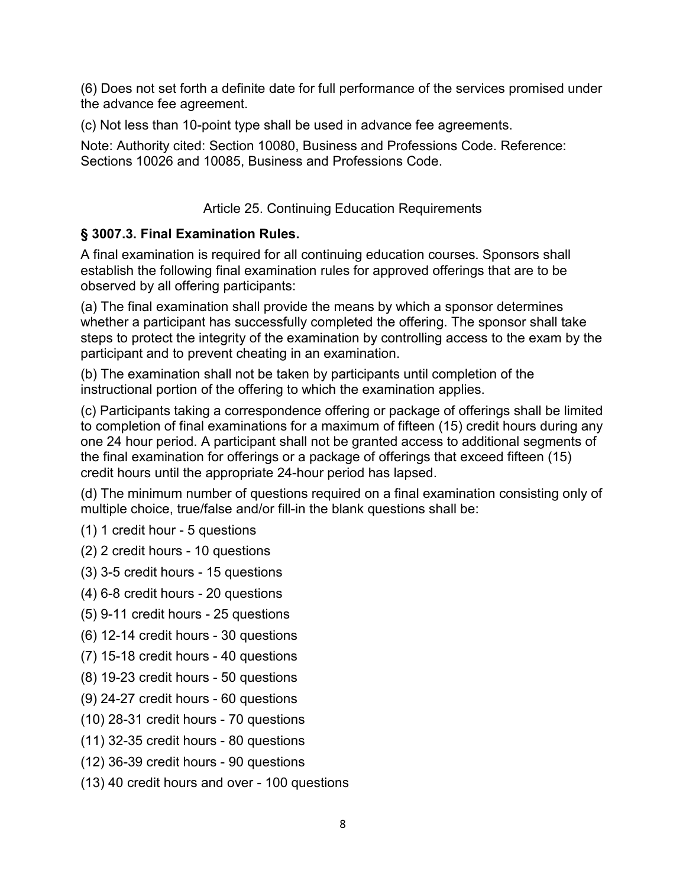(6) Does not set forth a definite date for full performance of the services promised under the advance fee agreement.

(c) Not less than 10-point type shall be used in advance fee agreements.

Note: Authority cited: Section 10080, Business and Professions Code. Reference: Sections 10026 and 10085, Business and Professions Code.

## Article 25. Continuing Education Requirements

# **§ 3007.3. Final Examination Rules.**

A final examination is required for all continuing education courses. Sponsors shall establish the following final examination rules for approved offerings that are to be observed by all offering participants:

(a) The final examination shall provide the means by which a sponsor determines whether a participant has successfully completed the offering. The sponsor shall take steps to protect the integrity of the examination by controlling access to the exam by the participant and to prevent cheating in an examination.

(b) The examination shall not be taken by participants until completion of the instructional portion of the offering to which the examination applies.

(c) Participants taking a correspondence offering or package of offerings shall be limited to completion of final examinations for a maximum of fifteen (15) credit hours during any one 24 hour period. A participant shall not be granted access to additional segments of the final examination for offerings or a package of offerings that exceed fifteen (15) credit hours until the appropriate 24-hour period has lapsed.

(d) The minimum number of questions required on a final examination consisting only of multiple choice, true/false and/or fill-in the blank questions shall be:

(1) 1 credit hour - 5 questions

(2) 2 credit hours - 10 questions

(3) 3-5 credit hours - 15 questions

(4) 6-8 credit hours - 20 questions

(5) 9-11 credit hours - 25 questions

- (6) 12-14 credit hours 30 questions
- (7) 15-18 credit hours 40 questions
- (8) 19-23 credit hours 50 questions
- (9) 24-27 credit hours 60 questions
- (10) 28-31 credit hours 70 questions
- (11) 32-35 credit hours 80 questions
- (12) 36-39 credit hours 90 questions
- (13) 40 credit hours and over 100 questions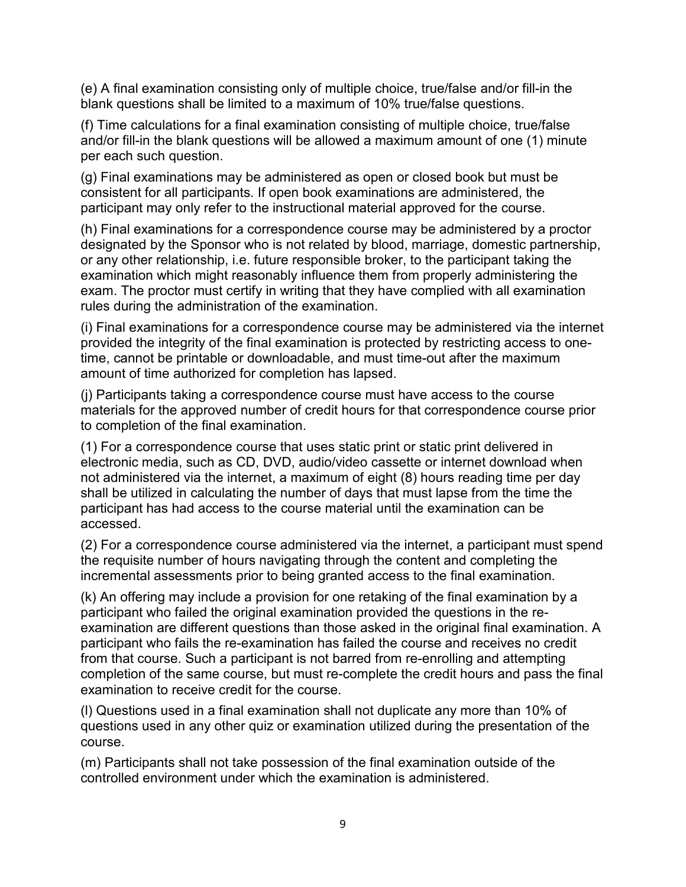(e) A final examination consisting only of multiple choice, true/false and/or fill-in the blank questions shall be limited to a maximum of 10% true/false questions.

(f) Time calculations for a final examination consisting of multiple choice, true/false and/or fill-in the blank questions will be allowed a maximum amount of one (1) minute per each such question.

(g) Final examinations may be administered as open or closed book but must be consistent for all participants. If open book examinations are administered, the participant may only refer to the instructional material approved for the course.

(h) Final examinations for a correspondence course may be administered by a proctor designated by the Sponsor who is not related by blood, marriage, domestic partnership, or any other relationship, i.e. future responsible broker, to the participant taking the examination which might reasonably influence them from properly administering the exam. The proctor must certify in writing that they have complied with all examination rules during the administration of the examination.

(i) Final examinations for a correspondence course may be administered via the internet provided the integrity of the final examination is protected by restricting access to onetime, cannot be printable or downloadable, and must time-out after the maximum amount of time authorized for completion has lapsed.

(j) Participants taking a correspondence course must have access to the course materials for the approved number of credit hours for that correspondence course prior to completion of the final examination.

(1) For a correspondence course that uses static print or static print delivered in electronic media, such as CD, DVD, audio/video cassette or internet download when not administered via the internet, a maximum of eight (8) hours reading time per day shall be utilized in calculating the number of days that must lapse from the time the participant has had access to the course material until the examination can be accessed.

(2) For a correspondence course administered via the internet, a participant must spend the requisite number of hours navigating through the content and completing the incremental assessments prior to being granted access to the final examination.

(k) An offering may include a provision for one retaking of the final examination by a participant who failed the original examination provided the questions in the reexamination are different questions than those asked in the original final examination. A participant who fails the re-examination has failed the course and receives no credit from that course. Such a participant is not barred from re-enrolling and attempting completion of the same course, but must re-complete the credit hours and pass the final examination to receive credit for the course.

(l) Questions used in a final examination shall not duplicate any more than 10% of questions used in any other quiz or examination utilized during the presentation of the course.

(m) Participants shall not take possession of the final examination outside of the controlled environment under which the examination is administered.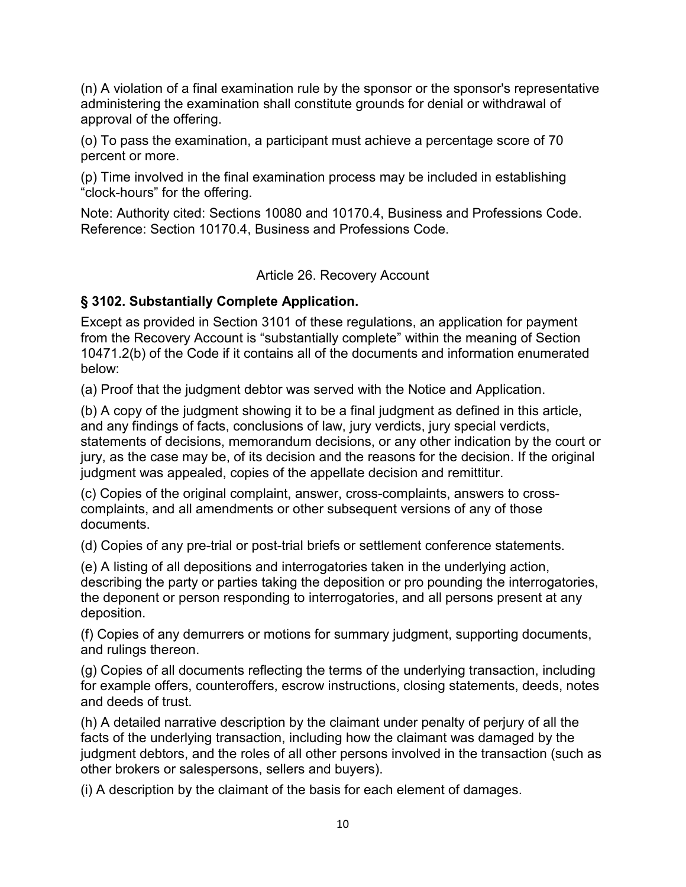(n) A violation of a final examination rule by the sponsor or the sponsor's representative administering the examination shall constitute grounds for denial or withdrawal of approval of the offering.

(o) To pass the examination, a participant must achieve a percentage score of 70 percent or more.

(p) Time involved in the final examination process may be included in establishing "clock-hours" for the offering.

Note: Authority cited: Sections 10080 and 10170.4, Business and Professions Code. Reference: Section 10170.4, Business and Professions Code.

Article 26. Recovery Account

### **§ 3102. Substantially Complete Application.**

Except as provided in Section 3101 of these regulations, an application for payment from the Recovery Account is "substantially complete" within the meaning of Section 10471.2(b) of the Code if it contains all of the documents and information enumerated below:

(a) Proof that the judgment debtor was served with the Notice and Application.

(b) A copy of the judgment showing it to be a final judgment as defined in this article, and any findings of facts, conclusions of law, jury verdicts, jury special verdicts, statements of decisions, memorandum decisions, or any other indication by the court or jury, as the case may be, of its decision and the reasons for the decision. If the original judgment was appealed, copies of the appellate decision and remittitur.

(c) Copies of the original complaint, answer, cross-complaints, answers to crosscomplaints, and all amendments or other subsequent versions of any of those documents.

(d) Copies of any pre-trial or post-trial briefs or settlement conference statements.

(e) A listing of all depositions and interrogatories taken in the underlying action, describing the party or parties taking the deposition or pro pounding the interrogatories, the deponent or person responding to interrogatories, and all persons present at any deposition.

(f) Copies of any demurrers or motions for summary judgment, supporting documents, and rulings thereon.

(g) Copies of all documents reflecting the terms of the underlying transaction, including for example offers, counteroffers, escrow instructions, closing statements, deeds, notes and deeds of trust.

(h) A detailed narrative description by the claimant under penalty of perjury of all the facts of the underlying transaction, including how the claimant was damaged by the judgment debtors, and the roles of all other persons involved in the transaction (such as other brokers or salespersons, sellers and buyers).

(i) A description by the claimant of the basis for each element of damages.